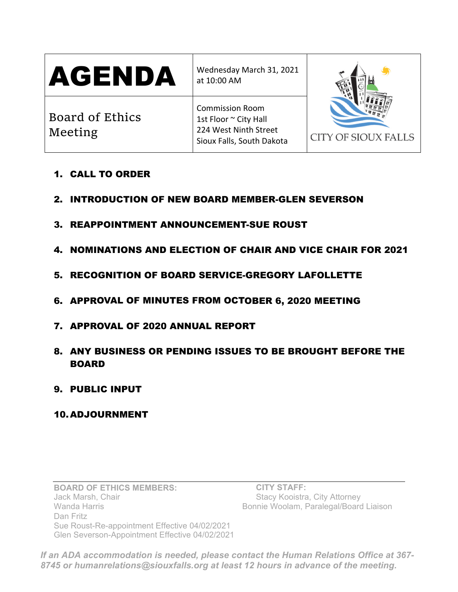| <b>AGENDA</b>              | Wednesday March 31, 2021<br>at 10:00 AM                                                               | <b>CITY OF SIOUX FALLS</b> |
|----------------------------|-------------------------------------------------------------------------------------------------------|----------------------------|
| Board of Ethics<br>Meeting | <b>Commission Room</b><br>1st Floor ~ City Hall<br>224 West Ninth Street<br>Sioux Falls, South Dakota |                            |

- 1. CALL TO ORDER
- 2. INTRODUCTION OF NEW BOARD MEMBER-GLEN SEVERSON
- 3. REAPPOINTMENT ANNOUNCEMENT-SUE ROUST
- 4. NOMINATIONS AND ELECTION OF CHAIR AND VICE CHAIR FOR 2021
- 5. RECOGNITION OF BOARD SERVICE-GREGORY LAFOLLETTE
- 6. APPROVAL OF MINUTES FROM OCTOBER 6, 2020 MEETING
- 7. APPROVAL OF 2020 ANNUAL REPORT
- 8. ANY BUSINESS OR PENDING ISSUES TO BE BROUGHT BEFORE THE BOARD
- 9. PUBLIC INPUT

## 10.ADJOURNMENT

**BOARD OF ETHICS MEMBERS:**  Jack Marsh, Chair Wanda Harris Dan Fritz Sue Roust-Re-appointment Effective 04/02/2021 Glen Severson-Appointment Effective 04/02/2021

 **CITY STAFF:**  Stacy Kooistra, City Attorney Bonnie Woolam, Paralegal/Board Liaison

*If an ADA accommodation is needed, please contact the Human Relations Office at 367- 8745 or humanrelations@siouxfalls.org at least 12 hours in advance of the meeting.*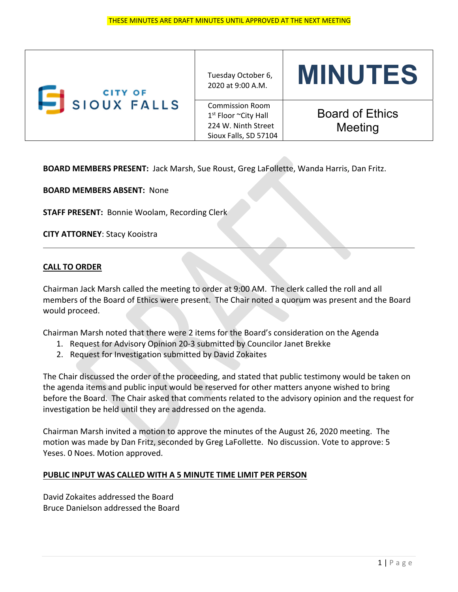| <b>CITY OF</b><br>SIOUX FALLS | Tuesday October 6,<br>2020 at 9:00 A.M.                                                                    | <b>MINUTES</b>                    |
|-------------------------------|------------------------------------------------------------------------------------------------------------|-----------------------------------|
|                               | <b>Commission Room</b><br>1 <sup>st</sup> Floor ~City Hall<br>224 W. Ninth Street<br>Sioux Falls, SD 57104 | <b>Board of Ethics</b><br>Meeting |

**BOARD MEMBERS PRESENT:** Jack Marsh, Sue Roust, Greg LaFollette, Wanda Harris, Dan Fritz.

**BOARD MEMBERS ABSENT:** None

**STAFF PRESENT:** Bonnie Woolam, Recording Clerk

**CITY ATTORNEY**: Stacy Kooistra

### **CALL TO ORDER**

Chairman Jack Marsh called the meeting to order at 9:00 AM. The clerk called the roll and all members of the Board of Ethics were present. The Chair noted a quorum was present and the Board would proceed.

Chairman Marsh noted that there were 2 items for the Board's consideration on the Agenda

- 1. Request for Advisory Opinion 20‐3 submitted by Councilor Janet Brekke
- 2. Request for Investigation submitted by David Zokaites

The Chair discussed the order of the proceeding, and stated that public testimony would be taken on the agenda items and public input would be reserved for other matters anyone wished to bring before the Board. The Chair asked that comments related to the advisory opinion and the request for investigation be held until they are addressed on the agenda.

Chairman Marsh invited a motion to approve the minutes of the August 26, 2020 meeting. The motion was made by Dan Fritz, seconded by Greg LaFollette. No discussion. Vote to approve: 5 Yeses. 0 Noes. Motion approved.

### **PUBLIC INPUT WAS CALLED WITH A 5 MINUTE TIME LIMIT PER PERSON**

David Zokaites addressed the Board Bruce Danielson addressed the Board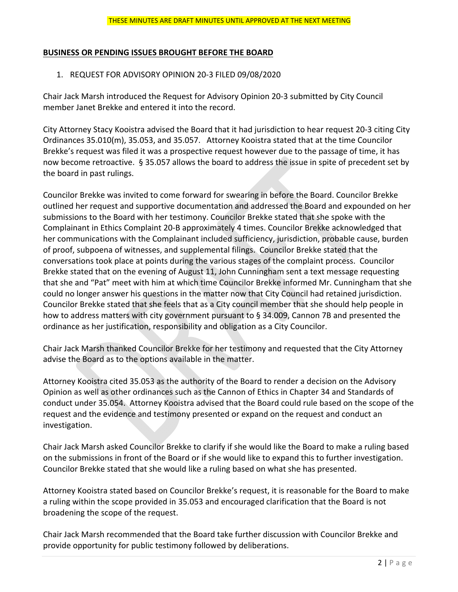#### **BUSINESS OR PENDING ISSUES BROUGHT BEFORE THE BOARD**

#### 1. REQUEST FOR ADVISORY OPINION 20‐3 FILED 09/08/2020

Chair Jack Marsh introduced the Request for Advisory Opinion 20‐3 submitted by City Council member Janet Brekke and entered it into the record.

City Attorney Stacy Kooistra advised the Board that it had jurisdiction to hear request 20‐3 citing City Ordinances 35.010(m), 35.053, and 35.057. Attorney Kooistra stated that at the time Councilor Brekke's request was filed it was a prospective request however due to the passage of time, it has now become retroactive. § 35.057 allows the board to address the issue in spite of precedent set by the board in past rulings.

Councilor Brekke was invited to come forward for swearing in before the Board. Councilor Brekke outlined her request and supportive documentation and addressed the Board and expounded on her submissions to the Board with her testimony. Councilor Brekke stated that she spoke with the Complainant in Ethics Complaint 20‐B approximately 4 times. Councilor Brekke acknowledged that her communications with the Complainant included sufficiency, jurisdiction, probable cause, burden of proof, subpoena of witnesses, and supplemental filings. Councilor Brekke stated that the conversations took place at points during the various stages of the complaint process. Councilor Brekke stated that on the evening of August 11, John Cunningham sent a text message requesting that she and "Pat" meet with him at which time Councilor Brekke informed Mr. Cunningham that she could no longer answer his questions in the matter now that City Council had retained jurisdiction. Councilor Brekke stated that she feels that as a City council member that she should help people in how to address matters with city government pursuant to § 34.009, Cannon 7B and presented the ordinance as her justification, responsibility and obligation as a City Councilor.

Chair Jack Marsh thanked Councilor Brekke for her testimony and requested that the City Attorney advise the Board as to the options available in the matter.

Attorney Kooistra cited 35.053 as the authority of the Board to render a decision on the Advisory Opinion as well as other ordinances such as the Cannon of Ethics in Chapter 34 and Standards of conduct under 35.054. Attorney Kooistra advised that the Board could rule based on the scope of the request and the evidence and testimony presented or expand on the request and conduct an investigation.

Chair Jack Marsh asked Councilor Brekke to clarify if she would like the Board to make a ruling based on the submissions in front of the Board or if she would like to expand this to further investigation. Councilor Brekke stated that she would like a ruling based on what she has presented.

Attorney Kooistra stated based on Councilor Brekke's request, it is reasonable for the Board to make a ruling within the scope provided in 35.053 and encouraged clarification that the Board is not broadening the scope of the request.

Chair Jack Marsh recommended that the Board take further discussion with Councilor Brekke and provide opportunity for public testimony followed by deliberations.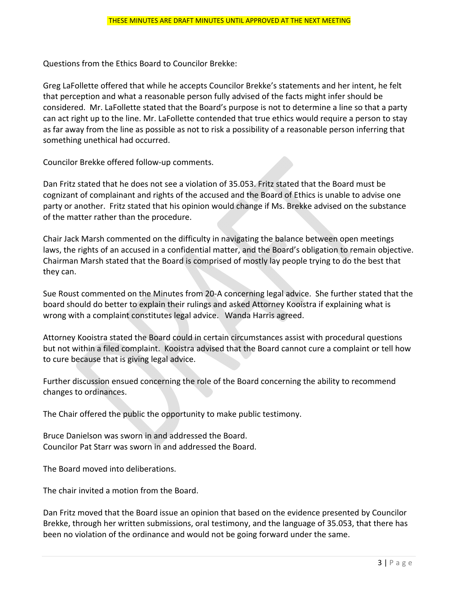Questions from the Ethics Board to Councilor Brekke:

Greg LaFollette offered that while he accepts Councilor Brekke's statements and her intent, he felt that perception and what a reasonable person fully advised of the facts might infer should be considered. Mr. LaFollette stated that the Board's purpose is not to determine a line so that a party can act right up to the line. Mr. LaFollette contended that true ethics would require a person to stay as far away from the line as possible as not to risk a possibility of a reasonable person inferring that something unethical had occurred.

Councilor Brekke offered follow‐up comments.

Dan Fritz stated that he does not see a violation of 35.053. Fritz stated that the Board must be cognizant of complainant and rights of the accused and the Board of Ethics is unable to advise one party or another. Fritz stated that his opinion would change if Ms. Brekke advised on the substance of the matter rather than the procedure.

Chair Jack Marsh commented on the difficulty in navigating the balance between open meetings laws, the rights of an accused in a confidential matter, and the Board's obligation to remain objective. Chairman Marsh stated that the Board is comprised of mostly lay people trying to do the best that they can.

Sue Roust commented on the Minutes from 20‐A concerning legal advice. She further stated that the board should do better to explain their rulings and asked Attorney Kooistra if explaining what is wrong with a complaint constitutes legal advice. Wanda Harris agreed.

Attorney Kooistra stated the Board could in certain circumstances assist with procedural questions but not within a filed complaint. Kooistra advised that the Board cannot cure a complaint or tell how to cure because that is giving legal advice.

Further discussion ensued concerning the role of the Board concerning the ability to recommend changes to ordinances.

The Chair offered the public the opportunity to make public testimony.

Bruce Danielson was sworn in and addressed the Board. Councilor Pat Starr was sworn in and addressed the Board.

The Board moved into deliberations.

The chair invited a motion from the Board.

Dan Fritz moved that the Board issue an opinion that based on the evidence presented by Councilor Brekke, through her written submissions, oral testimony, and the language of 35.053, that there has been no violation of the ordinance and would not be going forward under the same.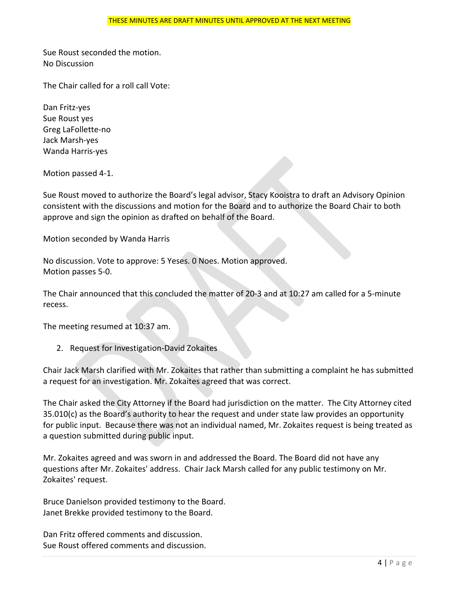Sue Roust seconded the motion. No Discussion

The Chair called for a roll call Vote:

Dan Fritz‐yes Sue Roust yes Greg LaFollette‐no Jack Marsh‐yes Wanda Harris‐yes

Motion passed 4‐1.

Sue Roust moved to authorize the Board's legal advisor, Stacy Kooistra to draft an Advisory Opinion consistent with the discussions and motion for the Board and to authorize the Board Chair to both approve and sign the opinion as drafted on behalf of the Board.

Motion seconded by Wanda Harris

No discussion. Vote to approve: 5 Yeses. 0 Noes. Motion approved. Motion passes 5‐0.

The Chair announced that this concluded the matter of 20‐3 and at 10:27 am called for a 5‐minute recess.

The meeting resumed at 10:37 am.

2. Request for Investigation‐David Zokaites

Chair Jack Marsh clarified with Mr. Zokaites that rather than submitting a complaint he has submitted a request for an investigation. Mr. Zokaites agreed that was correct.

The Chair asked the City Attorney if the Board had jurisdiction on the matter. The City Attorney cited 35.010(c) as the Board's authority to hear the request and under state law provides an opportunity for public input. Because there was not an individual named, Mr. Zokaites request is being treated as a question submitted during public input.

Mr. Zokaites agreed and was sworn in and addressed the Board. The Board did not have any questions after Mr. Zokaites' address. Chair Jack Marsh called for any public testimony on Mr. Zokaites' request.

Bruce Danielson provided testimony to the Board. Janet Brekke provided testimony to the Board.

Dan Fritz offered comments and discussion. Sue Roust offered comments and discussion.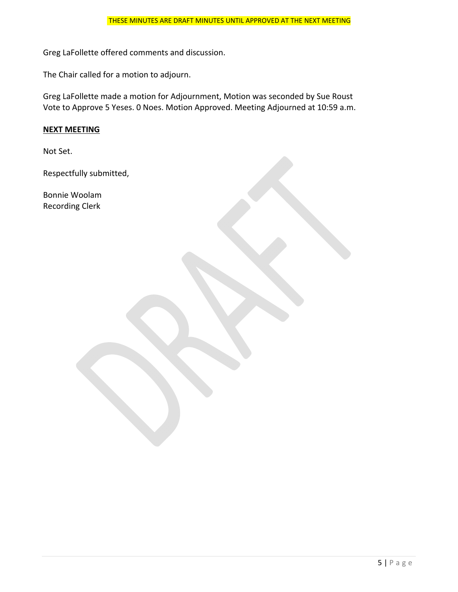Greg LaFollette offered comments and discussion.

The Chair called for a motion to adjourn.

Greg LaFollette made a motion for Adjournment, Motion was seconded by Sue Roust Vote to Approve 5 Yeses. 0 Noes. Motion Approved. Meeting Adjourned at 10:59 a.m.

#### **NEXT MEETING**

Not Set.

Respectfully submitted,

Bonnie Woolam Recording Clerk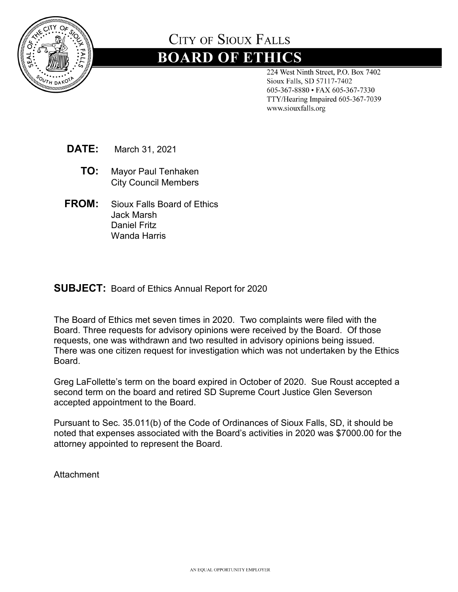

# **CITY OF SIQUX FALLS**

# **BOARD OF ETHICS**

224 West Ninth Street, P.O. Box 7402 Sioux Falls, SD 57117-7402 605-367-8880 • FAX 605-367-7330 TTY/Hearing Impaired 605-367-7039 www.siouxfalls.org

**DATE:** March 31, 2021

- **TO:** Mayor Paul Tenhaken City Council Members
- **FROM:** Sioux Falls Board of Ethics Jack Marsh Daniel Fritz Wanda Harris

## **SUBJECT:** Board of Ethics Annual Report for 2020

The Board of Ethics met seven times in 2020. Two complaints were filed with the Board. Three requests for advisory opinions were received by the Board. Of those requests, one was withdrawn and two resulted in advisory opinions being issued. There was one citizen request for investigation which was not undertaken by the Ethics Board.

Greg LaFollette's term on the board expired in October of 2020. Sue Roust accepted a second term on the board and retired SD Supreme Court Justice Glen Severson accepted appointment to the Board.

Pursuant to Sec. 35.011(b) of the Code of Ordinances of Sioux Falls, SD, it should be noted that expenses associated with the Board's activities in 2020 was \$7000.00 for the attorney appointed to represent the Board.

**Attachment**